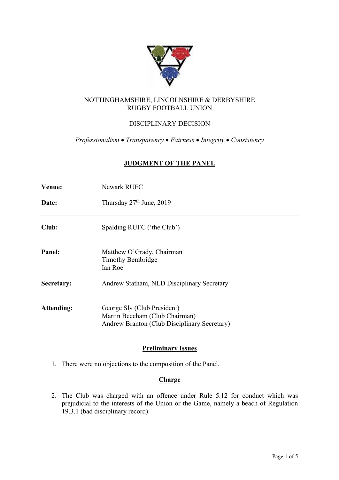

# NOTTINGHAMSHIRE, LINCOLNSHIRE & DERBYSHIRE RUGBY FOOTBALL UNION

# DISCIPLINARY DECISION

*Professionalism* • *Transparency* • *Fairness* • *Integrity* • *Consistency*

## **JUDGMENT OF THE PANEL**

| Venue:     | <b>Newark RUFC</b>                                                                                            |  |  |  |
|------------|---------------------------------------------------------------------------------------------------------------|--|--|--|
| Date:      | Thursday 27 <sup>th</sup> June, 2019                                                                          |  |  |  |
| Club:      | Spalding RUFC ('the Club')                                                                                    |  |  |  |
| Panel:     | Matthew O'Grady, Chairman<br><b>Timothy Bembridge</b><br>Ian Roe                                              |  |  |  |
| Secretary: | Andrew Statham, NLD Disciplinary Secretary                                                                    |  |  |  |
| Attending: | George Sly (Club President)<br>Martin Beecham (Club Chairman)<br>Andrew Branton (Club Disciplinary Secretary) |  |  |  |

# **Preliminary Issues**

1. There were no objections to the composition of the Panel.

### **Charge**

2. The Club was charged with an offence under Rule 5.12 for conduct which was prejudicial to the interests of the Union or the Game, namely a beach of Regulation 19.3.1 (bad disciplinary record).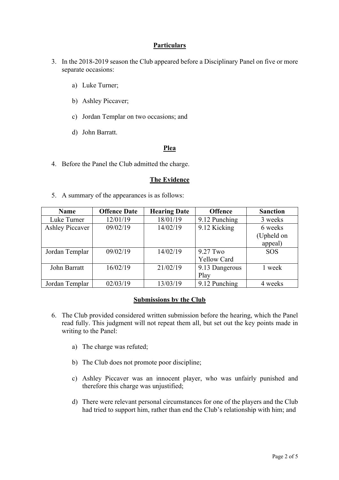## **Particulars**

- 3. In the 2018-2019 season the Club appeared before a Disciplinary Panel on five or more separate occasions:
	- a) Luke Turner;
	- b) Ashley Piccaver;
	- c) Jordan Templar on two occasions; and
	- d) John Barratt.

## **Plea**

4. Before the Panel the Club admitted the charge.

#### **The Evidence**

5. A summary of the appearances is as follows:

| <b>Name</b>            | <b>Offence Date</b> | <b>Hearing Date</b> | <b>Offence</b>     | <b>Sanction</b> |
|------------------------|---------------------|---------------------|--------------------|-----------------|
| Luke Turner            | 12/01/19            | 18/01/19            | 9.12 Punching      | 3 weeks         |
| <b>Ashley Piccaver</b> | 09/02/19            | 14/02/19            | 9.12 Kicking       | 6 weeks         |
|                        |                     |                     |                    | (Upheld on      |
|                        |                     |                     |                    | appeal)         |
| Jordan Templar         | 09/02/19            | 14/02/19            | $9.27$ Two         | <b>SOS</b>      |
|                        |                     |                     | <b>Yellow Card</b> |                 |
| John Barratt           | 16/02/19            | 21/02/19            | 9.13 Dangerous     | 1 week          |
|                        |                     |                     | Play               |                 |
| Jordan Templar         | 02/03/19            | 13/03/19            | 9.12 Punching      | 4 weeks         |

### **Submissions by the Club**

- 6. The Club provided considered written submission before the hearing, which the Panel read fully. This judgment will not repeat them all, but set out the key points made in writing to the Panel:
	- a) The charge was refuted;
	- b) The Club does not promote poor discipline;
	- c) Ashley Piccaver was an innocent player, who was unfairly punished and therefore this charge was unjustified;
	- d) There were relevant personal circumstances for one of the players and the Club had tried to support him, rather than end the Club's relationship with him; and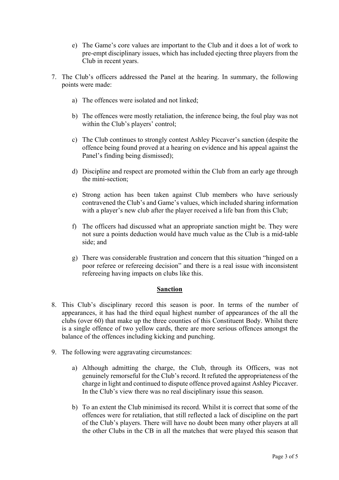- e) The Game's core values are important to the Club and it does a lot of work to pre-empt disciplinary issues, which has included ejecting three players from the Club in recent years.
- 7. The Club's officers addressed the Panel at the hearing. In summary, the following points were made:
	- a) The offences were isolated and not linked;
	- b) The offences were mostly retaliation, the inference being, the foul play was not within the Club's players' control;
	- c) The Club continues to strongly contest Ashley Piccaver's sanction (despite the offence being found proved at a hearing on evidence and his appeal against the Panel's finding being dismissed);
	- d) Discipline and respect are promoted within the Club from an early age through the mini-section;
	- e) Strong action has been taken against Club members who have seriously contravened the Club's and Game's values, which included sharing information with a player's new club after the player received a life ban from this Club;
	- f) The officers had discussed what an appropriate sanction might be. They were not sure a points deduction would have much value as the Club is a mid-table side; and
	- g) There was considerable frustration and concern that this situation "hinged on a poor referee or refereeing decision" and there is a real issue with inconsistent refereeing having impacts on clubs like this.

# **Sanction**

- 8. This Club's disciplinary record this season is poor. In terms of the number of appearances, it has had the third equal highest number of appearances of the all the clubs (over 60) that make up the three counties of this Constituent Body. Whilst there is a single offence of two yellow cards, there are more serious offences amongst the balance of the offences including kicking and punching.
- 9. The following were aggravating circumstances:
	- a) Although admitting the charge, the Club, through its Officers, was not genuinely remorseful for the Club's record. It refuted the appropriateness of the charge in light and continued to dispute offence proved against Ashley Piccaver. In the Club's view there was no real disciplinary issue this season.
	- b) To an extent the Club minimised its record. Whilst it is correct that some of the offences were for retaliation, that still reflected a lack of discipline on the part of the Club's players. There will have no doubt been many other players at all the other Clubs in the CB in all the matches that were played this season that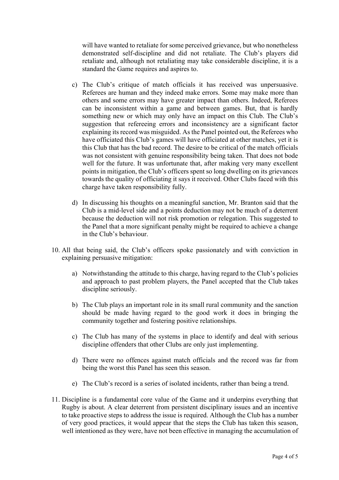will have wanted to retaliate for some perceived grievance, but who nonetheless demonstrated self-discipline and did not retaliate. The Club's players did retaliate and, although not retaliating may take considerable discipline, it is a standard the Game requires and aspires to.

- c) The Club's critique of match officials it has received was unpersuasive. Referees are human and they indeed make errors. Some may make more than others and some errors may have greater impact than others. Indeed, Referees can be inconsistent within a game and between games. But, that is hardly something new or which may only have an impact on this Club. The Club's suggestion that refereeing errors and inconsistency are a significant factor explaining its record was misguided. As the Panel pointed out, the Referees who have officiated this Club's games will have officiated at other matches, yet it is this Club that has the bad record. The desire to be critical of the match officials was not consistent with genuine responsibility being taken. That does not bode well for the future. It was unfortunate that, after making very many excellent points in mitigation, the Club's officers spent so long dwelling on its grievances towards the quality of officiating it says it received. Other Clubs faced with this charge have taken responsibility fully.
- d) In discussing his thoughts on a meaningful sanction, Mr. Branton said that the Club is a mid-level side and a points deduction may not be much of a deterrent because the deduction will not risk promotion or relegation. This suggested to the Panel that a more significant penalty might be required to achieve a change in the Club's behaviour.
- 10. All that being said, the Club's officers spoke passionately and with conviction in explaining persuasive mitigation:
	- a) Notwithstanding the attitude to this charge, having regard to the Club's policies and approach to past problem players, the Panel accepted that the Club takes discipline seriously.
	- b) The Club plays an important role in its small rural community and the sanction should be made having regard to the good work it does in bringing the community together and fostering positive relationships.
	- c) The Club has many of the systems in place to identify and deal with serious discipline offenders that other Clubs are only just implementing.
	- d) There were no offences against match officials and the record was far from being the worst this Panel has seen this season.
	- e) The Club's record is a series of isolated incidents, rather than being a trend.
- 11. Discipline is a fundamental core value of the Game and it underpins everything that Rugby is about. A clear deterrent from persistent disciplinary issues and an incentive to take proactive steps to address the issue is required. Although the Club has a number of very good practices, it would appear that the steps the Club has taken this season, well intentioned as they were, have not been effective in managing the accumulation of